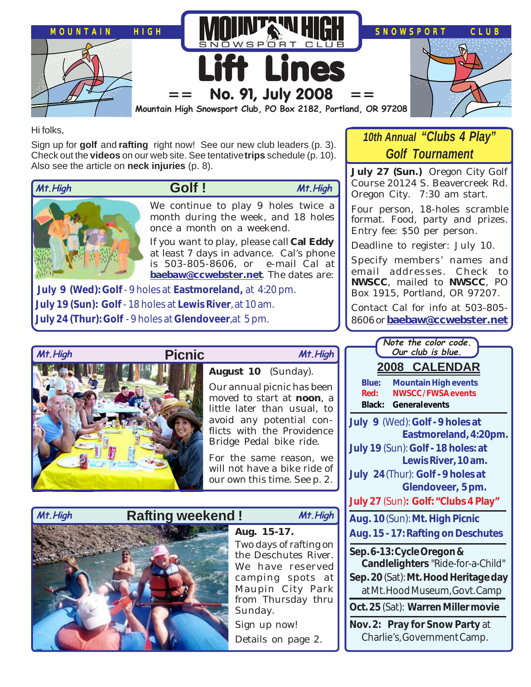

Hi folks,

Sign up for **golf** and **rafting** right now! See our new club leaders (p. 3). Check out the **videos** on our web site. See tentative **trips** schedule (p. 10). Also see the article on **neck injuries** (p. 8).



 **Golf ! Mt.High Mt.High**

We continue to play 9 holes twice a

month during the week, and 18 holes once a month on a weekend.

If you want to play, please call **Cal Eddy** at least 7 days in advance. Cal's phone is 503-805-8606, or e-mail Cal at **[baebaw@ccwebster.net](mailto:baebaw@ccwebster.net)**. The dates are:

 **July 9 (Wed): Golf** - 9 holes at **Eastmoreland,** at 4:20 pm. **July 19 (Sun): Golf** - 18 holes at **Lewis River**, at 10 am. **July 24 (Thur): Golf** - 9 holes at **Glendoveer**,at 5 pm.



**August 10** (Sunday).

Our annual picnic has been moved to start at **noon**, a little later than usual, to avoid any potential conflicts with the Providence Bridge Pedal bike ride.

For the same reason, we will not have a bike ride of our own this time. See p. 2.

## **Rafting weekend ! Mt.High Mt.High**

**Aug. 15-17.** Two days of rafting on the Deschutes River. We have reserved camping spots at Maupin City Park from Thursday thru Sunday. Sign up now! Details on page 2.

# *10th Annual "Clubs 4 Play" Golf Tournament*

**July 27 (Sun.)** Oregon City Golf Course 20124 S. Beavercreek Rd. Oregon City. 7:30 am start.

Four person, 18-holes scramble format. Food, party and prizes. Entry fee: \$50 per person.

Deadline to register: July 10.

Specify members' names and email addresses. Check to **NWSCC**, mailed to **NWSCC**, PO Box 1915, Portland, OR 97207.

Contact Cal for info at 503-805- 8606 or **[baebaw@ccwebster.net](mailto:baebaw@ccwebster.net)**

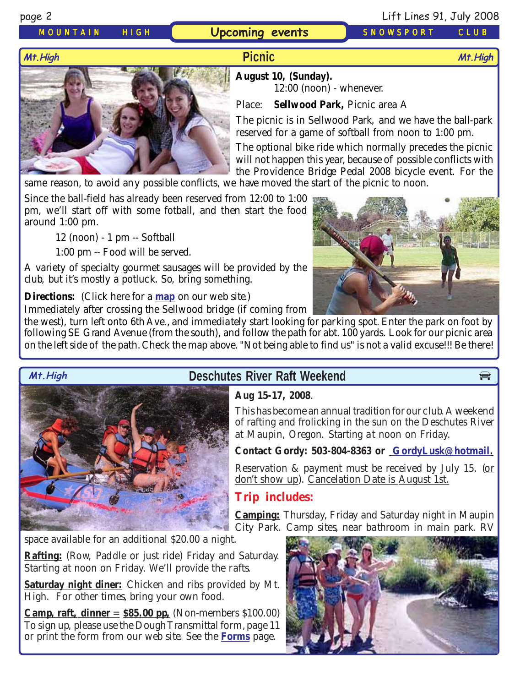### *MOUNTAIN HIGH* **Upcoming events** *SNOWSPORT CLUB*

page 2 Lift Lines 91, July 2008

## **Picnic**



**August 10, (Sunday).** 12:00 (noon) - whenever.

Place: **Sellwood Park,** Picnic area A

The picnic is in Sellwood Park, and we have the ball-park reserved for a game of softball from noon to 1:00 pm.

The optional bike ride which normally precedes the picnic will not happen this year, because of possible conflicts with the Providence Bridge Pedal 2008 bicycle event. For the

same reason, to avoid any possible conflicts, we have moved the start of the picnic to noon.

Since the ball-field has already been reserved from 12:00 to 1:00 pm, we'll start off with some fotball, and then start the food around 1:00 pm.

12 (noon) - 1 pm -- Softball

1:00 pm -- Food will be served.

A variety of specialty gourmet sausages will be provided by the club, but it's mostly a potluck. So, bring something.

**Directions:** (Click here for a **[map](http://www.mthigh.org/Events/Sellwood-Park-map.jpg)** on our web site.)

Immediately after crossing the Sellwood bridge (if coming from

the west), turn left onto 6th Ave., and immediately start looking for parking spot. Enter the park on foot by following SE Grand Avenue (from the south), and follow the path for abt. 100 yards. Look for our picnic area on the left side of the path. Check the map above. "Not being able to find us" is not a valid excuse!!! Be there!



# **Mt. High Beschutes River Raft Weekend**

**Aug 15-17, 2008**.

This has become an annual tradition for our club. A weekend of rafting and frolicking in the sun on the Deschutes River at Maupin, Oregon. Starting at noon on Friday.

#### **Contact Gordy: 503-804-8363 or [GordyLusk@hotmail.](mailto:gordylusk@hotmail.com)**

Reservation & payment must be received by July 15. (or don't show up). Cancelation Date is August 1st.

# **Trip includes:**

**Camping:** Thursday, Friday and Saturday night in Maupin City Park. Camp sites, near bathroom in main park. RV

space available for an additional \$20.00 a night.

**Rafting:** (Row, Paddle or just ride) Friday and Saturday. Starting at noon on Friday. We'll provide the rafts.

**Saturday night diner:** Chicken and ribs provided by Mt. High. For other times, bring your own food.

**Camp, raft, dinner** = **\$85.00 pp,** (Non-members \$100.00) To sign up, please use the Dough Transmittal form, page 11 or print the form from our web site. See the **[Forms](http://www.mthigh.org/Forms.htm)** page.

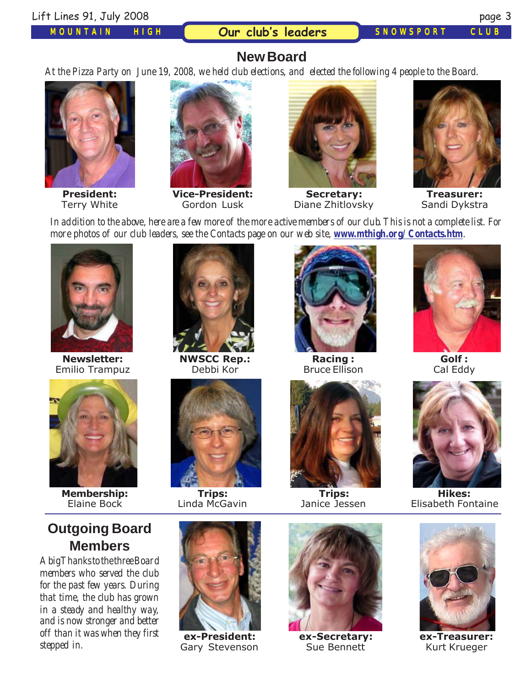#### Lift Lines 91, July 2008 page 3

#### *MOUNTAIN HIGH*

**Our club's leaders** *SNOWSPORT CLUB*

## **New Board**

*At the Pizza Party on June 19, 2008, we held club elections, and elected the following 4 people to the Board.*



**President:** Terry White



**Vice-President:** Gordon Lusk



**Secretary:** Diane Zhitlovsky



**Treasurer:** Sandi Dykstra

*In addition to the above, here are a few more of the more active members of our club. This is not a complete list. For more photos of our club leaders, see the Contacts page on our web site, <i>[www.mthigh.org/Contacts.htm](http://www.mthigh.org/Contacts.htm).* 



**Newsletter:** Emilio Trampuz



**Membership:** Elaine Bock

# **Outgoing Board Members**

*A big Thanks to the three Board members who served the club for the past few years. During that time, the club has grown in a steady and healthy way, and is now stronger and better off than it was when they first stepped in.*



**NWSCC Rep.:** Debbi Kor



**Trips:** Linda McGavin



**ex-President:** Gary Stevenson



**Racing :** Bruce Ellison



**Trips:** Janice Jessen



**ex-Secretary:** Sue Bennett



**Golf :** Cal Eddy



**Hikes:** Elisabeth Fontaine



**ex-Treasurer:** Kurt Krueger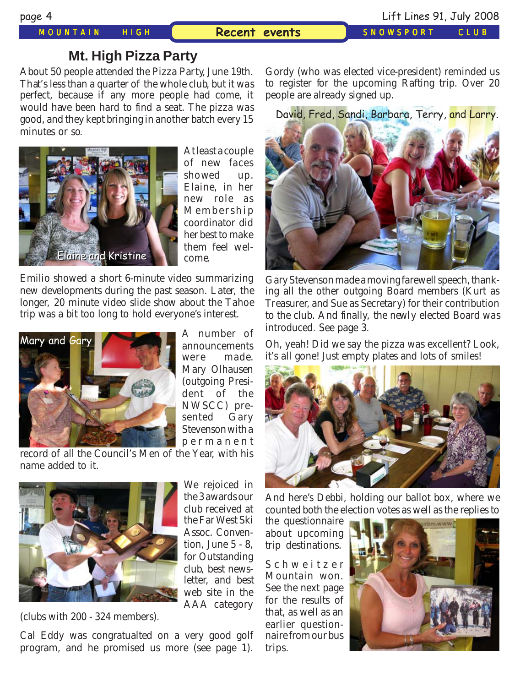*MOUNTAIN HIGH SNOWSPORT CLUB* **Recent events**

## **Mt. High Pizza Party**

About 50 people attended the Pizza Party, June 19th. That's less than a quarter of the whole club, but it was perfect, because if any more people had come, it would have been hard to find a seat. The pizza was good, and they kept bringing in another batch every 15 minutes or so.



At least a couple of new faces showed up. Elaine, in her new role as Membership coordinator did her best to make them feel welcome.

Emilio showed a short 6-minute video summarizing new developments during the past season. Later, the longer, 20 minute video slide show about the Tahoe trip was a bit too long to hold everyone's interest.



A number of announcements were made. Mary Olhausen (outgoing President of the NWSCC) presented Gary Stevenson with a permanent

record of all the Council's Men of the Year, with his name added to it.



We rejoiced in the 3 awards our club received at the Far West Ski Assoc. Convention, June 5 - 8, for Outstanding club, best newsletter, and best web site in the AAA category

(clubs with 200 - 324 members).

Cal Eddy was congratualted on a very good golf program, and he promised us more (see page 1).

Gordy (who was elected vice-president) reminded us to register for the upcoming Rafting trip. Over 20 people are already signed up.

David, Fred, Sandi, Barbara, Terry, and Larry.



Gary Stevenson made a moving farewell speech, thanking all the other outgoing Board members (Kurt as Treasurer, and Sue as Secretary) for their contribution to the club. And finally, the newly elected Board was introduced. See page 3.

Oh, yeah! Did we say the pizza was excellent? Look, it's all gone! Just empty plates and lots of smiles!



And here's Debbi, holding our ballot box, where we counted both the election votes as well as the replies to

the questionnaire about upcoming trip destinations.

Schweitzer Mountain won. See the next page for the results of that, as well as an earlier questionnaire from our bus trips.

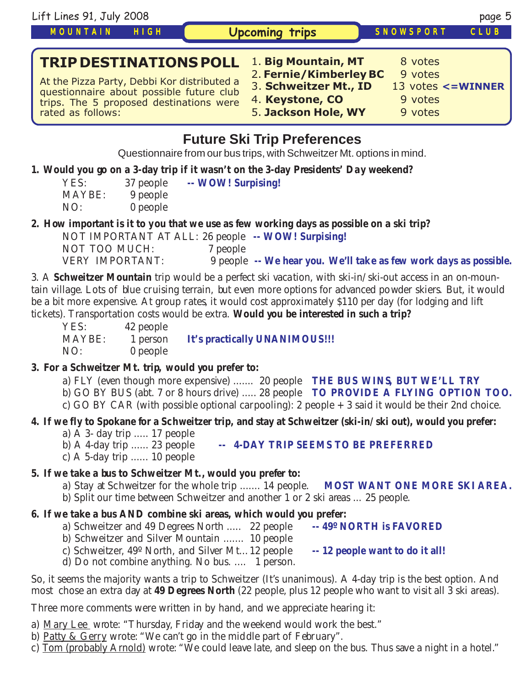| Lift Lines 91, July 2008                                                                                                                                                                 |                                                                                                                  |                                          | page 5             |  |  |
|------------------------------------------------------------------------------------------------------------------------------------------------------------------------------------------|------------------------------------------------------------------------------------------------------------------|------------------------------------------|--------------------|--|--|
| <b>MOUNTAIN</b><br>HIGH                                                                                                                                                                  | <b>Upcoming trips</b>                                                                                            | SNOWSPORT                                | CLUB               |  |  |
| <b>TRIP DESTINATIONS POLL</b><br>At the Pizza Party, Debbi Kor distributed a<br>questionnaire about possible future club<br>trips. The 5 proposed destinations were<br>rated as follows: | 1. Big Mountain, MT<br>2. Fernie/Kimberley BC<br>3. Schweitzer Mt., ID<br>4. Keystone, CO<br>5. Jackson Hole, WY | 8 votes<br>9 votes<br>9 votes<br>9 votes | 13 votes <= WINNER |  |  |
| Eutura Ski Trin Draforancas                                                                                                                                                              |                                                                                                                  |                                          |                    |  |  |

# **Future Ski Trip Preferences**

Questionnaire from our bus trips, with Schweitzer Mt. options in mind.

#### **1. Would you go on a 3-day trip if it wasn't on the 3-day Presidents' Day weekend?**

| YES:   | 37 people | -- WOW! Surpising! |
|--------|-----------|--------------------|
| MAYBE: | 9 people  |                    |
| NO:    | 0 people  |                    |

#### **2. How important is it to you that we use as few working days as possible on a ski trip?**

NOT IMPORTANT AT ALL: 26 people **-- WOW! Surpising!** NOT TOO MUCH: VERY IMPORTANT: 9 people **-- We hear you. We'll take as few work days as possible.**

3. A **Schweitzer Mountain** trip would be a perfect ski vacation, with ski-in/ski-out access in an on-mountain village. Lots of blue cruising terrain, but even more options for advanced powder skiers. But, it would be a bit more expensive. At group rates, it would cost approximately \$110 per day (for lodging and lift tickets). Transportation costs would be extra. **Would you be interested in such a trip?**

| YES:   | 42 people |                               |
|--------|-----------|-------------------------------|
| MAYBE: | 1 person  | It's practically UNANIMOUS!!! |
| NO:    | 0 people  |                               |

#### **3. For a Schweitzer Mt. trip, would you prefer to:**

- a) FLY (even though more expensive) ....... 20 people **THE BUS WINS, BUT WE'LL TRY**
- b) GO BY BUS (abt. 7 or 8 hours drive) ..... 28 people **TO PROVIDE A FLYING OPTION TOO.**
- c) GO BY CAR (with possible optional carpooling): 2 people + 3 said it would be their 2nd choice.

#### **4. If we fly to Spokane for a Schweitzer trip, and stay at Schweitzer (ski-in/ski out), would you prefer:**

- a) A 3- day trip ..... 17 people
	- b) A 4-day trip ...... 23 people **-- 4-DAY TRIP SEEMS TO BE PREFERRED**
- c) A 5-day trip ...... 10 people

### **5. If we take a bus to Schweitzer Mt., would you prefer to:**

- a) Stay at Schweitzer for the whole trip ....... 14 people. **MOST WANT ONE MORE SKI AREA.**
- b) Split our time between Schweitzer and another 1 or 2 ski areas ... 25 people.

### **6. If we take a bus AND combine ski areas, which would you prefer:**

- a) Schweitzer and 49 Degrees North ..... 22 people **-- 49º NORTH is FAVORED**
- b) Schweitzer and Silver Mountain ....... 10 people
- c) Schweitzer, 49º North, and Silver Mt... 12 people **-- 12 people want to do it all!**
- d) Do not combine anything. No bus. .... 1 person.

So, it seems the majority wants a trip to Schweitzer (It's unanimous). A 4-day trip is the best option. And most chose an extra day at **49 Degrees North** (22 people, plus 12 people who want to visit all 3 ski areas).

Three more comments were written in by hand, and we appreciate hearing it:

- a) Mary Lee wrote: "Thursday, Friday and the weekend would work the best."
- b) Patty & Gerry wrote: "We can't go in the middle part of February".
- c) Tom (probably Arnold) wrote: "We could leave late, and sleep on the bus. Thus save a night in a hotel."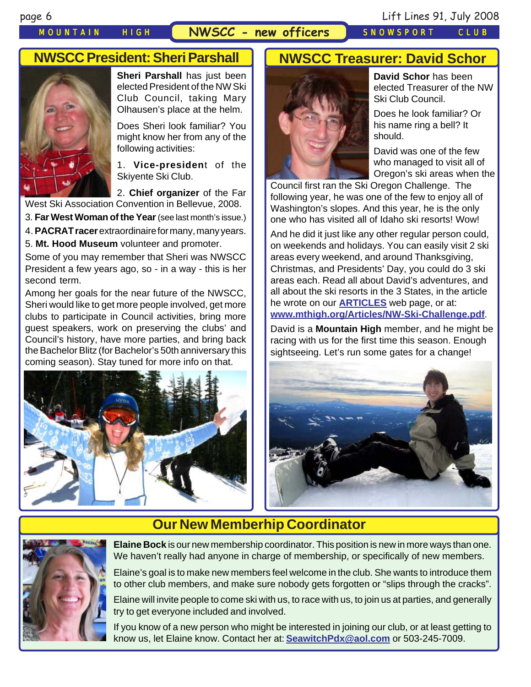### *MOUNTAIN HIGH* **NWSCC - new officers** *SNOWSPORT CLUB*

# **NWSCC President: Sheri Parshall**



**Sheri Parshall** has just been elected President of the NW Ski Club Council, taking Mary Olhausen's place at the helm.

Does Sheri look familiar? You might know her from any of the following activities:

1. **Vice-presiden**t of the Skiyente Ski Club.

2. **Chief organizer** of the Far

West Ski Association Convention in Bellevue, 2008.

3. **Far West Woman of the Year**(see last month's issue.)

4. **PACRAT racer** extraordinaire for many, many years.

5. **Mt. Hood Museum** volunteer and promoter.

Some of you may remember that Sheri was NWSCC President a few years ago, so - in a way - this is her second term.

Among her goals for the near future of the NWSCC, Sheri would like to get more people involved, get more clubs to participate in Council activities, bring more guest speakers, work on preserving the clubs' and Council's history, have more parties, and bring back the Bachelor Blitz (for Bachelor's 50th anniversary this coming season). Stay tuned for more info on that.



# **NWSCC Treasurer: David Schor**



**David Schor** has been elected Treasurer of the NW Ski Club Council.

Does he look familiar? Or his name ring a bell? It should.

David was one of the few who managed to visit all of Oregon's ski areas when the

Council first ran the Ski Oregon Challenge. The following year, he was one of the few to enjoy all of Washington's slopes. And this year, he is the only one who has visited all of Idaho ski resorts! Wow!

And he did it just like any other regular person could, on weekends and holidays. You can easily visit 2 ski areas every weekend, and around Thanksgiving, Christmas, and Presidents' Day, you could do 3 ski areas each. Read all about David's adventures, and all about the ski resorts in the 3 States, in the article he wrote on our **[ARTICLES](http://www.mthigh.org/Articles.htm)** web page, or at: **[www.mthigh.org/Articles/NW-Ski-Challenge.pdf](mailto:TWhite223@msn.com)**.

David is a **Mountain High** member, and he might be racing with us for the first time this season. Enough sightseeing. Let's run some gates for a change!



# **Our New Memberhip Coordinator**



**Elaine Bock** is our new membership coordinator. This position is new in more ways than one. We haven't really had anyone in charge of membership, or specifically of new members.

Elaine's goal is to make new members feel welcome in the club. She wants to introduce them to other club members, and make sure nobody gets forgotten or "slips through the cracks".

Elaine will invite people to come ski with us, to race with us, to join us at parties, and generally try to get everyone included and involved.

If you know of a new person who might be interested in joining our club, or at least getting to know us, let Elaine know. Contact her at: **[SeawitchPdx@aol.com](mailto:seawitchpdx@aol.com)** or 503-245-7009.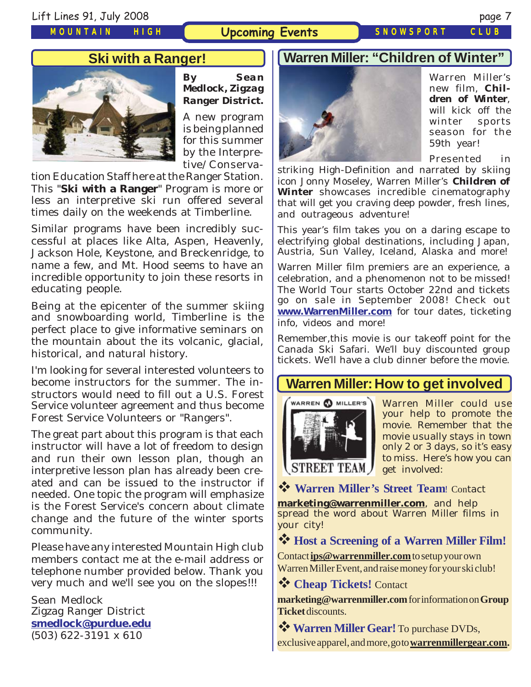*MOUNTAIN HIGH*

### **Upcoming Events** *SNOWSPORT CLUB*

### **Ski with a Ranger!**



*By Sean Medlock, Zigzag Ranger District.*

A new program is being planned for this summer by the Interpretive/Conserva-

tion Education Staff here at the Ranger Station. This "**Ski with a Ranger**" Program is more or less an interpretive ski run offered several times daily on the weekends at Timberline.

Similar programs have been incredibly successful at places like Alta, Aspen, Heavenly, Jackson Hole, Keystone, and Breckenridge, to name a few, and Mt. Hood seems to have an incredible opportunity to join these resorts in educating people.

Being at the epicenter of the summer skiing and snowboarding world, Timberline is the perfect place to give informative seminars on the mountain about the its volcanic, glacial, historical, and natural history.

I'm looking for several interested volunteers to become instructors for the summer. The instructors would need to fill out a U.S. Forest Service volunteer agreement and thus become Forest Service Volunteers or "Rangers".

The great part about this program is that each instructor will have a lot of freedom to design and run their own lesson plan, though an interpretive lesson plan has already been created and can be issued to the instructor if needed. One topic the program will emphasize is the Forest Service's concern about climate change and the future of the winter sports community.

Please have any interested Mountain High club members contact me at the e-mail address or telephone number provided below. Thank you very much and we'll see you on the slopes!!!

Sean Medlock Zigzag Ranger District **[smedlock@purdue.edu](mailto:smedlock@purdue.edu)** (503) 622-3191 x 610

### **Warren Miller: "Children of Winter"**



Warren Miller's new film, **Children of Winter**, will kick off the winter sports season for the 59th year!

Presented in

striking High-Definition and narrated by skiing icon Jonny Moseley, Warren Miller's *Children of* **Winter** showcases incredible cinematography that will get you craving deep powder, fresh lines, and outrageous adventure!

This year's film takes you on a daring escape to electrifying global destinations, including Japan, Austria, Sun Valley, Iceland, Alaska and more!

Warren Miller film premiers are an experience, a celebration, and a phenomenon not to be missed! The World Tour starts October 22nd and tickets go on sale in September 2008! Check out **[www.WarrenMiller.com](http://www.WarrenMiller.com/)** for tour dates, ticketing info, videos and more!

Remember,this movie is our takeoff point for the Canada Ski Safari. We'll buy discounted group tickets. We'll have a club dinner before the movie.

## **Warren Miller: How to get involved**



Warren Miller could use your help to promote the movie. Remember that the movie usually stays in town only 2 or 3 days, so it's easy to miss. Here's how you can get involved:

**Warren Miller's Street Team**! Contact

**[marketing@warrenmiller.com](mailto:marketing@warrenmiller.com)**, and help spread the word about Warren Miller films in your city!

**Host a Screening of a Warren Miller Film!**

Contact **[ips@warrenmiller.com](mailto:ips@warrenmiller.com)** to setup your own Warren Miller Event, and raise money for your ski club!

**Cheap Tickets!** Contact

**[marketing@warrenmiller.com](mailto:marketing@warrenmiller.com)** for information on **Group Ticket** discounts.

**Warren Miller Gear!** To purchase DVDs, exclusive apparel, and more, go to **[warrenmillergear.com](http://www.warrenmillergear.com/).**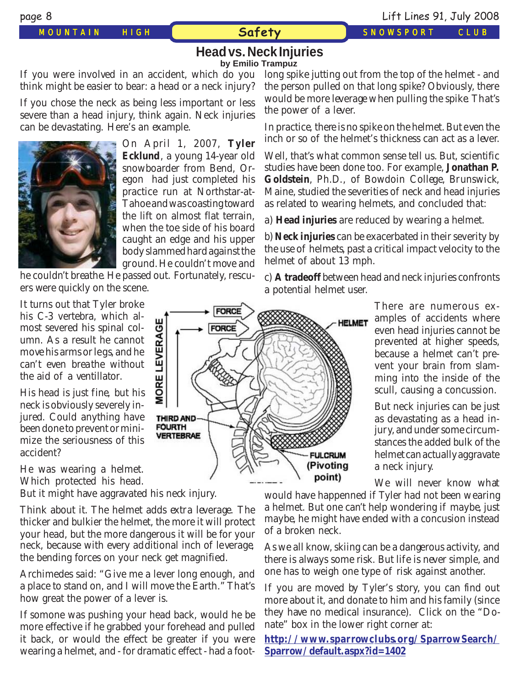#### **Head vs. Neck Injuries by Emilio Trampuz**

If you were involved in an accident, which do you think might be easier to bear: a head or a neck injury?

If you chose the neck as being less important or less severe than a head injury, think again. Neck injuries can be devastating. Here's an example.



On April 1, 2007, **Tyler Ecklund**, a young 14-year old snowboarder from Bend, Oregon had just completed his practice run at Northstar-at-Tahoe and was coasting toward the lift on almost flat terrain, when the toe side of his board caught an edge and his upper body slammed hard against the ground. He couldn't move and

he couldn't breathe. He passed out. Fortunately, rescuers were quickly on the scene.

It turns out that Tyler broke his C-3 vertebra, which almost severed his spinal column. As a result he cannot move his arms or legs, and he can't even breathe without the aid of a ventillator.

His head is just fine, but his neck is obviously severely injured. Could anything have been done to prevent or minimize the seriousness of this accident?

He was wearing a helmet. Which protected his head.

But it might have aggravated his neck injury.

Think about it. The helmet adds extra leverage. The thicker and bulkier the helmet, the more it will protect your head, but the more dangerous it will be for your neck, because with every additional inch of leverage, the bending forces on your neck get magnified.

Archimedes said: "Give me a lever long enough, and a place to stand on, and I will move the Earth." That's how great the power of a lever is.

If somone was pushing your head back, would he be more effective if he grabbed your forehead and pulled it back, or would the effect be greater if you were wearing a helmet, and - for dramatic effect - had a foot-

FORCE **HELMET MORE LEVERAGE FORCE** THIRD AND **FOURTH VERTEBRAE FULCRUM** (Pivoting point)

long spike jutting out from the top of the helmet - and the person pulled on that long spike? Obviously, there would be more leverage when pulling the spike. That's the power of a lever.

In practice, there is no spike on the helmet. But even the inch or so of the helmet's thickness can act as a lever.

Well, that's what common sense tell us. But, scientific studies have been done too. For example, **Jonathan P. Goldstein**, Ph.D., of Bowdoin College, Brunswick, Maine, studied the severities of neck and head injuries as related to wearing helmets, and concluded that:

a) **Head injuries** are reduced by wearing a helmet.

b) **Neck injuries** can be exacerbated in their severity by the use of helmets, past a critical impact velocity to the helmet of about 13 mph.

c) **A tradeoff** between head and neck injuries confronts a potential helmet user.

> There are numerous examples of accidents where even head injuries cannot be prevented at higher speeds, because a helmet can't prevent your brain from slamming into the inside of the scull, causing a concussion.

> But neck injuries can be just as devastating as a head injury, and under some circumstances the added bulk of the helmet can actually aggravate a neck injury.

We will never know what

would have happenned if Tyler had not been wearing a helmet. But one can't help wondering if maybe, just maybe, he might have ended with a concusion instead of a broken neck.

As we all know, skiing can be a dangerous activity, and there is always some risk. But life is never simple, and one has to weigh one type of risk against another.

If you are moved by Tyler's story, you can find out more about it, and donate to him and his family (since they have no medical insurance). Click on the "Donate" box in the lower right corner at:

**[http://www.sparrowclubs.org/SparrowSearch/](http://www.sparrowclubs.org/SparrowSearch/Sparrow/default.aspx?id=1402) [Sparrow/default.aspx?id=1402](http://www.sparrowclubs.org/SparrowSearch/Sparrow/default.aspx?id=1402)**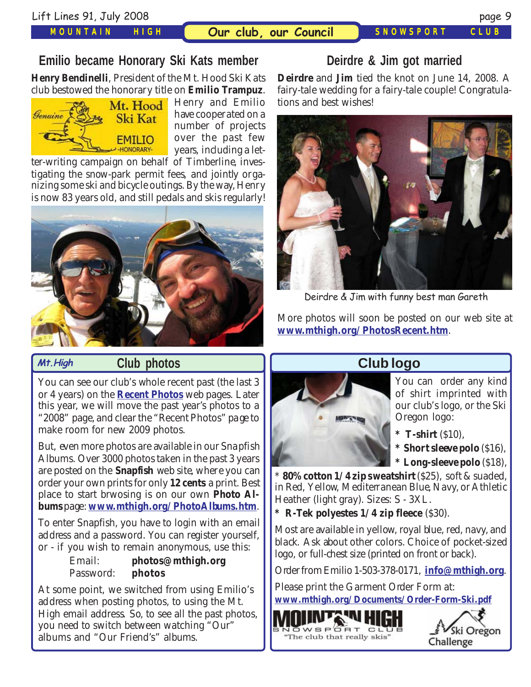#### *MOUNTAIN HIGH*

# **Emilio became Honorary Ski Kats member**

**Henry Bendinelli**, President of the Mt. Hood Ski Kats club bestowed the honorary title on **Emilio Trampuz**.



Henry and Emilio have cooperated on a number of projects over the past few years, including a let-

ter-writing campaign on behalf of Timberline, investigating the snow-park permit fees, and jointly organizing some ski and bicycle outings. By the way, Henry is now 83 years old, and still pedals and skis regularly!



#### **Mt.High**

### **Club photos**

You can see our club's whole recent past (the last 3 or 4 years) on the **[Recent Photos](http://www.mthigh.org/PhotosRecent.htm)** web pages. Later this year, we will move the past year's photos to a "2008" page, and clear the "Recent Photos" page to make room for new 2009 photos.

But, even more photos are available in our Snapfish Albums. Over 3000 photos taken in the past 3 years are posted on the **Snapfish** web site, where you can order your own prints for only **12 cents** a print. Best place to start brwosing is on our own **Photo Albums** page: **[www.mthigh.org/PhotoAlbums.htm](http://www.mthigh.org/PhotoAlbums.htm)**.

To enter Snapfish, you have to login with an email address and a password. You can register yourself, or - if you wish to remain anonymous, use this:

#### Email: **photos@mthigh.org** Password: **photos**

At some point, we switched from using Emilio's address when posting photos, to using the Mt. High email address. So, to see all the past photos, you need to switch between watching "Our" albums and "Our Friend's" albums.

# **Deirdre & Jim got married**

**Deirdre** and **Jim** tied the knot on June 14, 2008. A fairy-tale wedding for a fairy-tale couple! Congratulations and best wishes!



Deirdre & Jim with funny best man Gareth

More photos will soon be posted on our web site at **[www.mthigh.org/PhotosRecent.htm](http://www.mthigh.org/PhotosRecent.htm)**.

# **Club logo**



You can order any kind of shirt imprinted with our club's logo, or the Ski Oregon logo:

- **\* T-shirt** (\$10),
- **\* Short sleeve polo** (\$16),
- **\* Long-sleeve polo** (\$18),

\* **80% cotton 1/4 zip sweatshirt** (\$25), soft & suaded, in Red, Yellow, Mediterranean Blue, Navy, or Athletic Heather (light gray). Sizes: S - 3XL.

**R-Tek polyestes 1/4 zip fleece** (\$30).

Most are available in yellow, royal blue, red, navy, and black. Ask about other colors. Choice of pocket-sized logo, or full-chest size (printed on front or back).

Order from Emilio 1-503-378-0171, **[info@mthigh.org](mailto:info@mthigh.org)**.

Please print the Garment Order Form at: **[www.mthigh.org/Documents/Order-Form-Ski.pdf](http://www.mthigh.org/Documents/Order-Form-Ski.pdf)**

 $SP<sub>OPT</sub>$ 

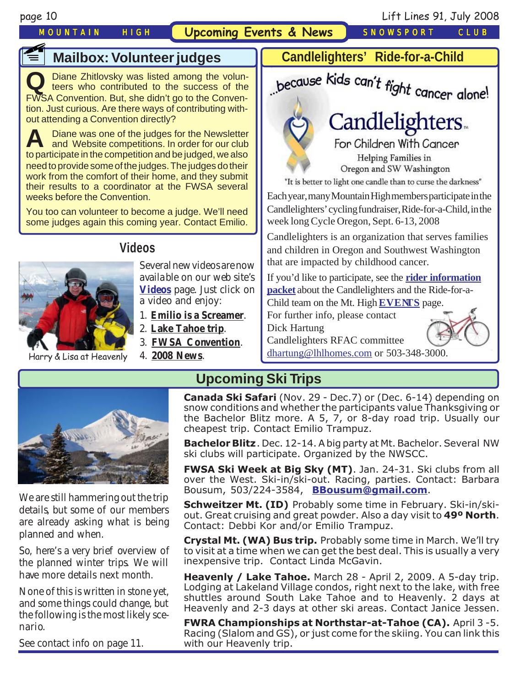**f** 

*MOUNTAIN HIGH* **Upcoming Events & News** *SNOWSPORT CLUB*

# **Mailbox: Volunteer judges**

**Q** Diane Zhitlovsky was listed among the volun-teers who contributed to the success of the FWSA Convention. But, she didn't go to the Convention. Just curious. Are there ways of contributing without attending a Convention directly?

**A** Diane was one of the judges for the Newsletter<br>and Website competitions. In order for our club to participate in the competition and be judged, we also need to provide some of the judges. The judges do their work from the comfort of their home, and they submit their results to a coordinator at the FWSA several weeks before the Convention.

You too can volunteer to become a judge. We'll need some judges again this coming year. Contact Emilio.



# **Videos**

Several new videos are now available on our web site's **[Videos](http://www.mthigh.org/Videos.htm)** page. Just click on a video and enjoy:

- 1. **[Emilio is a Screamer](http://www.mthigh.org/Videos/Emilio-screamer.wmv)**.
- 2. **[Lake Tahoe trip](http://www.mthigh.org/Videos/Tahoe2008-w.wmv)**.
- 3. **[FWSA Convention](http://www.mthigh.org/Videos/FWSA-Conv-2008-short-w.wmv)**.
- Harry & Lisa at Heavenly 4. **[2008 News](http://www.mthigh.org/Videos/2008-News-w.wmv)**.



Child team on the Mt. High **[EVENTS](http://www.mthigh.org/Events.htm#Cycle_Oregon)** page.

For further info, please contact Dick Hartung

Candlelighters RFAC committee

[dhartung@lhlhomes.com](mailto:dhartung@lhlhomes.com) or 503-348-3000.



We are still hammering out the trip details, but some of our members are already asking what is being planned and when.

So, here's a very brief overview of the planned winter trips. We will have more details next month.

None of this is written in stone yet, and some things could change, but the following is the most likely scenario.

See contact info on page 11.

**Upcoming Ski Trips**

**Canada Ski Safari** (Nov. 29 - Dec.7) or (Dec. 6-14) depending on snow conditions and whether the participants value Thanksgiving or the Bachelor Blitz more. A 5, 7, or 8-day road trip. Usually our cheapest trip. Contact Emilio Trampuz.

**Bachelor Blitz**. Dec. 12-14. A big party at Mt. Bachelor. Several NW ski clubs will participate. Organized by the NWSCC.

**FWSA Ski Week at Big Sky (MT)**. Jan. 24-31. Ski clubs from all over the West. Ski-in/ski-out. Racing, parties. Contact: Barbara Bousum, 503/224-3584, **[BBousum@gmail.com](mailto:BBousum@gmail.com)**.

**Schweitzer Mt. (ID)** Probably some time in February. Ski-in/skiout. Great cruising and great powder. Also a day visit to **49º North**. Contact: Debbi Kor and/or Emilio Trampuz.

**Crystal Mt. (WA) Bus trip.** Probably some time in March. We'll try to visit at a time when we can get the best deal. This is usually a very inexpensive trip. Contact Linda McGavin.

**Heavenly / Lake Tahoe.** March 28 - April 2, 2009. A 5-day trip. Lodging at Lakeland Village condos, right next to the lake, with free shuttles around South Lake Tahoe and to Heavenly. 2 days at Heavenly and 2-3 days at other ski areas. Contact Janice Jessen.

**FWRA Championships at Northstar-at-Tahoe (CA).** April 3 -5. Racing (Slalom and GS), or just come for the skiing. You can link this with our Heavenly trip.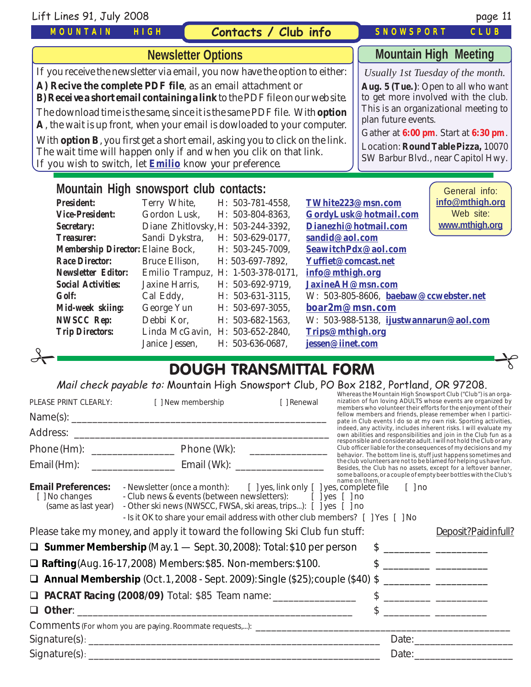Lift Lines 91, July 2008 page 11

### *MOUNTAIN HIGH*

## **Contacts / Club info**

# **Mountain High Meeting**

*SNOWSPORT CLUB*

*Usually 1st Tuesday of the month.*

**Aug. 5 (Tue.)**: Open to all who want to get more involved with the club. This is an organizational meeting to plan future events.

Gather at **6:00 pm**. Start at **6:30 pm**.

Location: **Round Table Pizza,** 10070 SW Barbur Blvd., near Capitol Hwy.

General info:

# **Newsletter Options**

If you receive the newsletter via email, you now have the option to either:

**A) Recive the complete PDF file**, as an email attachment or

**B) Receive a short email containing a link** to the PDF file on our web site.

The download time is the same, since it is the same PDF file. With **option A**, the wait is up front, when your email is dowloaded to your computer.

With **option B**, you first get a short email, asking you to click on the link. The wait time will happen only if and when you clik on that link. If you wish to switch, let **[Emilio](mailto:Emilio2000@earthlink.net)** know your preference.

#### **Mountain High snowsport club contacts:**

| <b>President:</b>                        | Terry White,                       | H: 503-781-4558,    | TWhite223@msn.com                      | info@mthigh.org |
|------------------------------------------|------------------------------------|---------------------|----------------------------------------|-----------------|
| <i><b>Vice-President:</b></i>            | Gordon Lusk,                       | H: 503-804-8363,    | GordyLusk@hotmail.com                  | Web site:       |
| <b>Secretary:</b>                        | Diane Zhitlovsky, H: 503-244-3392, |                     | Dianezhi@hotmail.com                   | www.mthigh.org  |
| <b>Treasurer:</b>                        | Sandi Dykstra,                     | H: 503-629-0177,    | sandid@aol.com                         |                 |
| <b>Membership Director: Elaine Bock,</b> |                                    | $H: 503-245-7009$ , | SeawitchPdx@aol.com                    |                 |
| <b>Race Director:</b>                    | Bruce Ellison,                     | H: 503-697-7892.    | Yuffiet@comcast.net                    |                 |
| <b>Newsletter Editor:</b>                | Emilio Trampuz, H: 1-503-378-0171, |                     | info@mthigh.org                        |                 |
| <b>Social Activities:</b>                | Jaxine Harris,                     | H: 503-692-9719,    | JaxineAH@msn.com                       |                 |
| <b>Golf:</b>                             | Cal Eddy,                          | $H: 503-631-3115$ , | W: 503-805-8606, baebaw@ccwebster.net  |                 |
| Mid-week skiing:                         | George Yun                         | $H: 503-697-3055$ , | boar2m@msn.com                         |                 |
| <b>NWSCC Rep:</b>                        | Debbi Kor.                         | H: 503-682-1563.    | W: 503-988-5138, ijustwannarun@aol.com |                 |
| <b>Trip Directors:</b>                   | Linda McGavin, H: 503-652-2840,    |                     | Trips@mthigh.org                       |                 |
|                                          | Janice Jessen,                     | H: 503-636-0687.    | jessen@iinet.com                       |                 |

# DOUGH TRANSMITTAL FORM  $\frac{1}{\sqrt{1-\frac{1}{\sqrt{1-\frac{1}{\sqrt{1-\frac{1}{\sqrt{1-\frac{1}{\sqrt{1-\frac{1}{\sqrt{1-\frac{1}{\sqrt{1-\frac{1}{\sqrt{1-\frac{1}{\sqrt{1-\frac{1}{\sqrt{1-\frac{1}{\sqrt{1-\frac{1}{\sqrt{1-\frac{1}{\sqrt{1-\frac{1}{\sqrt{1-\frac{1}{\sqrt{1-\frac{1}{\sqrt{1-\frac{1}{\sqrt{1-\frac{1}{\sqrt{1-\frac{1}{\sqrt{1-\frac{1}{\sqrt{1-\frac{1}{\sqrt{1-\frac{1}{\sqrt{1-\frac{1}{\sqrt{1-\frac{1}{\sqrt{1-\frac{1$

Mail check payable to: Mountain High Snowsport Club, PO Box 2182, Portland, OR 97208.

| PLEASE PRINT CLEARLY:                                              | [ ] New membership                                                                                                                                                                                                                                                                                                 | [ ] Renewal |               | Whereas the Mountain High Snowsport Club ("Club") is an orga-<br>nization of fun loving ADULTS whose events are organized by                                                                                                                                                                                        |
|--------------------------------------------------------------------|--------------------------------------------------------------------------------------------------------------------------------------------------------------------------------------------------------------------------------------------------------------------------------------------------------------------|-------------|---------------|---------------------------------------------------------------------------------------------------------------------------------------------------------------------------------------------------------------------------------------------------------------------------------------------------------------------|
|                                                                    |                                                                                                                                                                                                                                                                                                                    |             |               | members who volunteer their efforts for the enjoyment of their<br>fellow members and friends, please remember when I partici-<br>pate in Club events I do so at my own risk. Sporting activities,                                                                                                                   |
|                                                                    |                                                                                                                                                                                                                                                                                                                    |             |               | indeed, any activity, includes inherent risks. I will evaluate my<br>own abilities and responsibilities and join in the Club fun as a                                                                                                                                                                               |
|                                                                    |                                                                                                                                                                                                                                                                                                                    |             |               | responsible and considerate adult. I will not hold the Club or any<br>Club officer liable for the consequences of my decisions and my<br>behavior. The bottom line is, stuff just happens sometimes and                                                                                                             |
| Email (Hm):                                                        |                                                                                                                                                                                                                                                                                                                    |             |               | the club volunteers are not to be blamed for helping us have fun.<br>Besides, the Club has no assets, except for a leftover banner,<br>some balloons, or a couple of empty beer bottles with the Club's                                                                                                             |
| <b>Email Preferences:</b><br>[ ] No changes<br>(same as last year) | - Newsletter (once a month): $\left[\right]$ yes, link only $\left[\right]$ yes, complete file<br>- Club news & events (between newsletters): [ ] yes [ ] no<br>- Other ski news (NWSCC, FWSA, ski areas, trips): [ ] yes [ ] no<br>- Is it OK to share your email address with other club members? [ ] Yes [ ] No |             | name on them. | $\lceil$ $\rceil$ no                                                                                                                                                                                                                                                                                                |
|                                                                    | Please take my money, and apply it toward the following Ski Club fun stuff:                                                                                                                                                                                                                                        |             |               | Deposit?Paidinfull?                                                                                                                                                                                                                                                                                                 |
|                                                                    | <b>Q Summer Membership</b> (May. $1$ — Sept. 30, 2008): Total: \$10 per person                                                                                                                                                                                                                                     |             |               |                                                                                                                                                                                                                                                                                                                     |
|                                                                    | $\Box$ Rafting(Aug. 16-17, 2008) Members: \$85. Non-members: \$100.                                                                                                                                                                                                                                                |             |               |                                                                                                                                                                                                                                                                                                                     |
|                                                                    | $\Box$ Annual Membership (Oct. 1, 2008 - Sept. 2009): Single (\$25); couple (\$40) \$                                                                                                                                                                                                                              |             |               |                                                                                                                                                                                                                                                                                                                     |
|                                                                    | <b>D</b> PACRAT Racing (2008/09) Total: \$85 Team name: ________________                                                                                                                                                                                                                                           |             |               | $\frac{1}{2}$ $\frac{1}{2}$ $\frac{1}{2}$ $\frac{1}{2}$ $\frac{1}{2}$ $\frac{1}{2}$ $\frac{1}{2}$ $\frac{1}{2}$ $\frac{1}{2}$ $\frac{1}{2}$ $\frac{1}{2}$ $\frac{1}{2}$ $\frac{1}{2}$ $\frac{1}{2}$ $\frac{1}{2}$ $\frac{1}{2}$ $\frac{1}{2}$ $\frac{1}{2}$ $\frac{1}{2}$ $\frac{1}{2}$ $\frac{1}{2}$ $\frac{1}{2}$ |
|                                                                    |                                                                                                                                                                                                                                                                                                                    |             |               |                                                                                                                                                                                                                                                                                                                     |
|                                                                    |                                                                                                                                                                                                                                                                                                                    |             |               |                                                                                                                                                                                                                                                                                                                     |
|                                                                    |                                                                                                                                                                                                                                                                                                                    |             |               |                                                                                                                                                                                                                                                                                                                     |
|                                                                    |                                                                                                                                                                                                                                                                                                                    |             |               |                                                                                                                                                                                                                                                                                                                     |